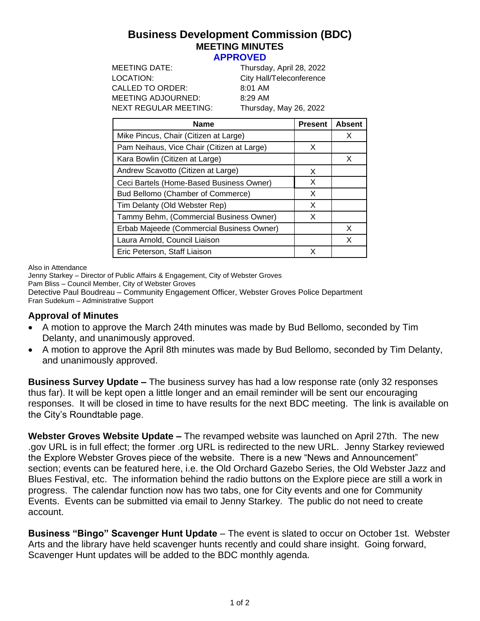# **Business Development Commission (BDC) MEETING MINUTES**

#### **APPROVED**

| MEETING DATE:         | Thursday, April 28, 2022 |
|-----------------------|--------------------------|
| LOCATION:             | City Hall/Teleconference |
| CALLED TO ORDER:      | $8:01$ AM                |
| MEETING ADJOURNED:    | $8:29$ AM                |
| NEXT REGULAR MEETING: | Thursday, May 26, 2022   |
|                       |                          |

| <b>Name</b>                                | <b>Present</b> | <b>Absent</b> |
|--------------------------------------------|----------------|---------------|
| Mike Pincus, Chair (Citizen at Large)      |                | X             |
| Pam Neihaus, Vice Chair (Citizen at Large) | X              |               |
| Kara Bowlin (Citizen at Large)             |                | X             |
| Andrew Scavotto (Citizen at Large)         | X              |               |
| Ceci Bartels (Home-Based Business Owner)   | X              |               |
| Bud Bellomo (Chamber of Commerce)          | X              |               |
| Tim Delanty (Old Webster Rep)              | X              |               |
| Tammy Behm, (Commercial Business Owner)    | X              |               |
| Erbab Majeede (Commercial Business Owner)  |                | X             |
| Laura Arnold, Council Liaison              |                | X             |
| Eric Peterson, Staff Liaison               | x              |               |

Also in Attendance

Jenny Starkey – Director of Public Affairs & Engagement, City of Webster Groves Pam Bliss – Council Member, City of Webster Groves Detective Paul Boudreau – Community Engagement Officer, Webster Groves Police Department Fran Sudekum – Administrative Support

### **Approval of Minutes**

- A motion to approve the March 24th minutes was made by Bud Bellomo, seconded by Tim Delanty, and unanimously approved.
- A motion to approve the April 8th minutes was made by Bud Bellomo, seconded by Tim Delanty, and unanimously approved.

**Business Survey Update –** The business survey has had a low response rate (only 32 responses thus far). It will be kept open a little longer and an email reminder will be sent our encouraging responses. It will be closed in time to have results for the next BDC meeting. The link is available on the City's Roundtable page.

**Webster Groves Website Update –** The revamped website was launched on April 27th. The new .gov URL is in full effect; the former .org URL is redirected to the new URL. Jenny Starkey reviewed the Explore Webster Groves piece of the website. There is a new "News and Announcement" section; events can be featured here, i.e. the Old Orchard Gazebo Series, the Old Webster Jazz and Blues Festival, etc. The information behind the radio buttons on the Explore piece are still a work in progress. The calendar function now has two tabs, one for City events and one for Community Events. Events can be submitted via email to Jenny Starkey. The public do not need to create account.

**Business "Bingo" Scavenger Hunt Update** – The event is slated to occur on October 1st. Webster Arts and the library have held scavenger hunts recently and could share insight. Going forward, Scavenger Hunt updates will be added to the BDC monthly agenda.